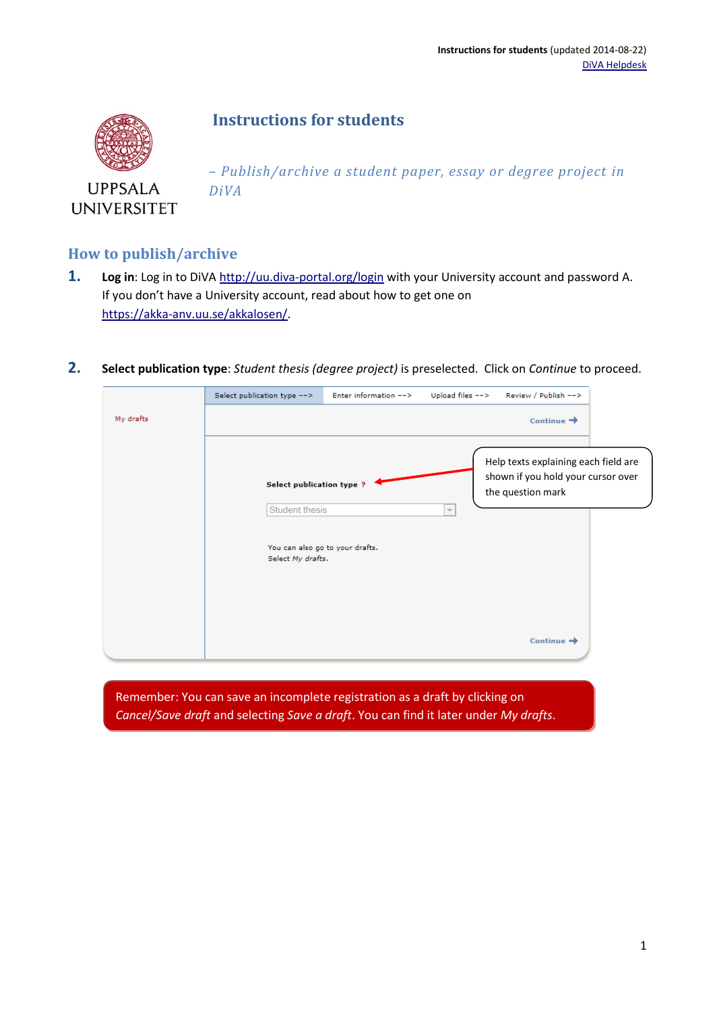## **Instructions for students**



**UPPSALA UNIVERSITET**  *– Publish/archive a student paper, essay or degree project in DiVA*

## **How to publish/archive**

- **1. Log in**: Log in to DiV[A http://uu.diva-portal.org/login](http://uu.diva-portal.org/login) with your University account and password A. If you don't have a University account, read about how to get one on [https://akka-anv.uu.se/akkalosen/.](https://akka-anv.uu.se/akkalosen/)
- **2. Select publication type**: *Student thesis (degree project)* is preselected. Click on *Continue* to proceed.

|           | Select publication type -->                                                 | Enter information $-->$         | Upload files $-->$       | Review / Publish -->                                                                            |  |
|-----------|-----------------------------------------------------------------------------|---------------------------------|--------------------------|-------------------------------------------------------------------------------------------------|--|
| My drafts |                                                                             |                                 |                          | Continue $\rightarrow$                                                                          |  |
|           | <b>Select publication type ?</b><br>Student thesis<br>Select My drafts.     | You can also go to your drafts. | $\overline{\phantom{a}}$ | Help texts explaining each field are<br>shown if you hold your cursor over<br>the question mark |  |
|           | Remember: You can save an incomplete registration as a draft by clicking on |                                 |                          | Continue $\rightarrow$                                                                          |  |

*Cancel/Save draft* and selecting *Save a draft*. You can find it later under *My drafts*.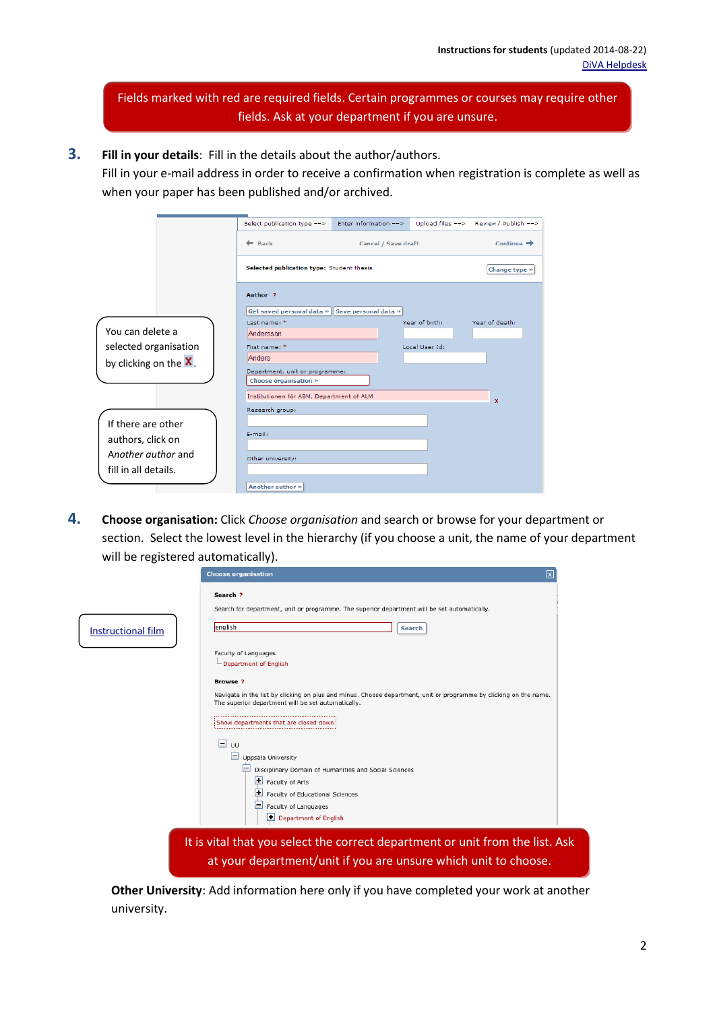Fields marked with red are required fields. Certain programmes or courses may require other fields. Ask at your department if you are unsure.

**3. Fill in your details**: Fill in the details about the author/authors.

Fill in your e-mail address in order to receive a confirmation when registration is complete as well as when your paper has been published and/or archived.

|                       | Select publication type -->                    | Enter information --> |                | Upload files --> Review / Publish --> |
|-----------------------|------------------------------------------------|-----------------------|----------------|---------------------------------------|
|                       | $\leftarrow$ Back                              | Cancel / Save draft   |                | Continue $\rightarrow$                |
|                       | Selected publication type: Student thesis      |                       |                | Change type »                         |
|                       | Author <sub>2</sub>                            |                       |                |                                       |
|                       | Get saved personal data » Save personal data » |                       |                |                                       |
|                       | Last name: *                                   |                       | Year of birth: | Year of death:                        |
| You can delete a      | Andersson                                      |                       |                |                                       |
| selected organisation | First name: *                                  |                       | Local User Id: |                                       |
| by clicking on the X. | <b>Anders</b>                                  |                       |                |                                       |
|                       | Department, unit or programme:                 |                       |                |                                       |
|                       | Choose organisation »                          |                       |                |                                       |
|                       | Institutionen för ABM, Department of ALM       |                       |                | x                                     |
|                       | Research group:                                |                       |                |                                       |
| If there are other    |                                                |                       |                |                                       |
|                       | E-mail:                                        |                       |                |                                       |
| authors, click on     |                                                |                       |                |                                       |
| Another author and    | Other university:                              |                       |                |                                       |
| fill in all details.  |                                                |                       |                |                                       |
|                       |                                                |                       |                |                                       |
|                       | Another author »                               |                       |                |                                       |

**4. Choose organisation:** Click *Choose organisation* and search or browse for your department or section. Select the lowest level in the hierarchy (if you choose a unit, the name of your department will be registered automatically).

|                    | ⊠<br><b>Choose organisation</b>                                                                                                                                                           |  |
|--------------------|-------------------------------------------------------------------------------------------------------------------------------------------------------------------------------------------|--|
|                    | Search ?<br>Search for department, unit or programme. The superior department will be set automatically.                                                                                  |  |
| Instructional film | english<br>Search                                                                                                                                                                         |  |
|                    | Faculty of Languages<br>Department of English                                                                                                                                             |  |
|                    | <b>Browse?</b><br>Navigate in the list by clicking on plus and minus. Choose department, unit or programme by clicking on the name.<br>The superior department will be set automatically. |  |
|                    | Show departments that are closed down<br>ы<br>UU                                                                                                                                          |  |
|                    | E.<br>Uppsala University<br>Disciplinary Domain of Humanities and Social Sciences<br>E<br>Faculty of Arts                                                                                 |  |
|                    | $\blacksquare$<br>Faculty of Educational Sciences<br>Ε<br>Faculty of Languages<br>Department of English                                                                                   |  |
|                    | It is vital that you select the correct department or unit from the list. Ask<br>at your department/unit if you are unsure which unit to choose.                                          |  |

**Other University**: Add information here only if you have completed your work at another university.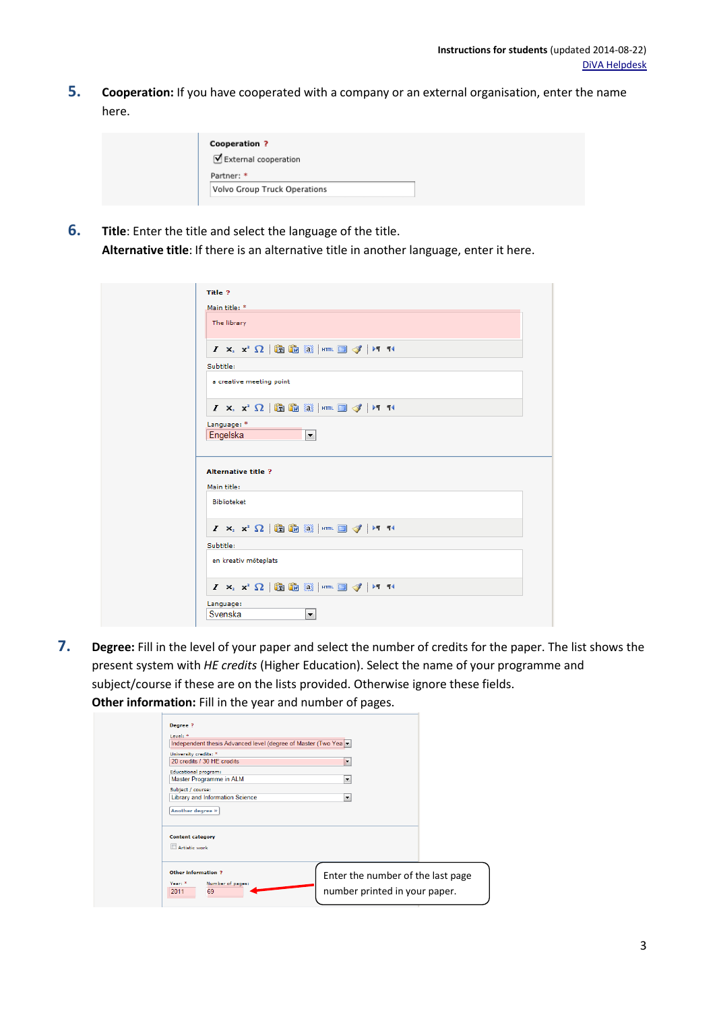**5. Cooperation:** If you have cooperated with a company or an external organisation, enter the name here.

| <b>Cooperation ?</b>         |  |
|------------------------------|--|
| External cooperation         |  |
| Partner: *                   |  |
| Volvo Group Truck Operations |  |
|                              |  |

**6. Title**: Enter the title and select the language of the title. **Alternative title**: If there is an alternative title in another language, enter it here.

| Title ?                  |               |                                                                                                                                                                                                     |  |                      |  |  |  |  |  |
|--------------------------|---------------|-----------------------------------------------------------------------------------------------------------------------------------------------------------------------------------------------------|--|----------------------|--|--|--|--|--|
|                          |               |                                                                                                                                                                                                     |  |                      |  |  |  |  |  |
|                          | Main title: * |                                                                                                                                                                                                     |  |                      |  |  |  |  |  |
|                          | The library   |                                                                                                                                                                                                     |  |                      |  |  |  |  |  |
|                          |               | $I \times_{\mathbb{R}} \mathbb{Z} \setminus \overline{\Omega}$ in $\widehat{\mathbb{Z}}$ and $\widehat{\mathbb{Z}}$ is a set $\widehat{\mathbb{Z}}$ in the set of $I \times \mathbb{Z}$             |  |                      |  |  |  |  |  |
| Subtitle:                |               |                                                                                                                                                                                                     |  |                      |  |  |  |  |  |
|                          |               | a creative meeting point                                                                                                                                                                            |  |                      |  |  |  |  |  |
|                          |               | $I \times_{2} X^{2} \Omega$ to the $[3]$ strik $[3]$ of $[1]$                                                                                                                                       |  |                      |  |  |  |  |  |
|                          | Language: *   |                                                                                                                                                                                                     |  |                      |  |  |  |  |  |
|                          | Engelska      |                                                                                                                                                                                                     |  |                      |  |  |  |  |  |
|                          |               |                                                                                                                                                                                                     |  | $\blacktriangledown$ |  |  |  |  |  |
|                          |               |                                                                                                                                                                                                     |  |                      |  |  |  |  |  |
|                          |               | <b>Alternative title ?</b>                                                                                                                                                                          |  |                      |  |  |  |  |  |
|                          |               |                                                                                                                                                                                                     |  |                      |  |  |  |  |  |
|                          | Biblioteket   |                                                                                                                                                                                                     |  |                      |  |  |  |  |  |
|                          |               | $I \times_{\mathbb{R}} \mathbb{Z} \setminus \overline{\Omega}$ in $\widehat{\mathbb{Z}}$ and $\widehat{\mathbb{Z}}$ is a set $\widehat{\mathbb{Z}}$ in the set of $I$                               |  |                      |  |  |  |  |  |
|                          |               |                                                                                                                                                                                                     |  |                      |  |  |  |  |  |
|                          |               |                                                                                                                                                                                                     |  |                      |  |  |  |  |  |
| Main title:<br>Subtitle: |               | en kreativ möteplats                                                                                                                                                                                |  |                      |  |  |  |  |  |
|                          |               | $I$ $\mathsf{x}_i$ $\mathsf{x}^2$ $\Omega$ $ \mathsf{B}\mathsf{B}\mathsf{B}\mathsf{B}\mathsf{B} $ $ \mathsf{H}\mathsf{B}\mathsf{B}\mathsf{B}\mathsf{B} $ $\mathsf{H}\mathsf{B}\mathsf{B}\mathsf{B}$ |  |                      |  |  |  |  |  |
|                          | Language:     |                                                                                                                                                                                                     |  |                      |  |  |  |  |  |
|                          | Svenska       |                                                                                                                                                                                                     |  | ۰                    |  |  |  |  |  |

**7. Degree:** Fill in the level of your paper and select the number of credits for the paper. The list shows the present system with *HE credits* (Higher Education). Select the name of your programme and subject/course if these are on the lists provided. Otherwise ignore these fields. **Other information:** Fill in the year and number of pages.

| Degree ?<br>Level: *                                                                     | Independent thesis Advanced level (degree of Master (Two Yea |                                                                    |  |
|------------------------------------------------------------------------------------------|--------------------------------------------------------------|--------------------------------------------------------------------|--|
| University credits: *<br>20 credits / 30 HE credits                                      |                                                              | $\overline{\phantom{a}}$                                           |  |
| Educational program:<br>Master Programme in ALM<br>Subject / course:<br>Another degree » | Library and Information Science                              | $\overline{\phantom{a}}$<br>$\overline{\phantom{a}}$               |  |
| <b>Content category</b><br>Artistic work                                                 |                                                              |                                                                    |  |
| <b>Other information ?</b><br>Year: *<br>69<br>2011                                      | Number of pages:                                             | Enter the number of the last page<br>number printed in your paper. |  |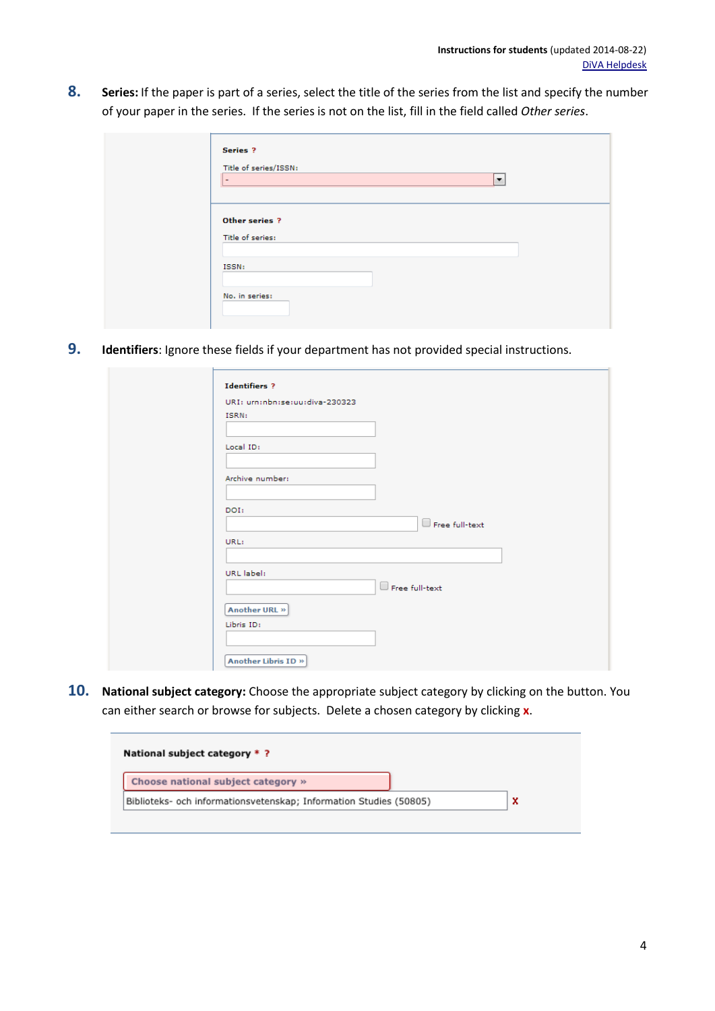**8. Series:** If the paper is part of a series, select the title of the series from the list and specify the number of your paper in the series. If the series is not on the list, fill in the field called *Other series*.

| Series ?<br>Title of series/ISSN:<br>$\overline{a}$ | $\overline{\phantom{a}}$ |  |
|-----------------------------------------------------|--------------------------|--|
| Other series ?<br>Title of series:                  |                          |  |
| ISSN:                                               |                          |  |
| No. in series:                                      |                          |  |

**9. Identifiers**: Ignore these fields if your department has not provided special instructions.

| URI: urn:nbn:se:uu:diva-230323 |                       |  |
|--------------------------------|-----------------------|--|
| ISRN:                          |                       |  |
|                                |                       |  |
| Local ID:                      |                       |  |
|                                |                       |  |
| Archive number:                |                       |  |
|                                |                       |  |
| DOI:                           |                       |  |
|                                | Free full-text        |  |
| URL:                           |                       |  |
|                                |                       |  |
| URL label:                     |                       |  |
|                                | $\Box$ Free full-text |  |
| Another URL »                  |                       |  |
| Libris ID:                     |                       |  |
|                                |                       |  |
|                                |                       |  |
|                                |                       |  |

**10. National subject category:** Choose the appropriate subject category by clicking on the button. You can either search or browse for subjects. Delete a chosen category by clicking **x**.

| National subject category *?                                       |   |
|--------------------------------------------------------------------|---|
| Choose national subject category »                                 |   |
| Biblioteks- och informationsvetenskap; Information Studies (50805) | x |
|                                                                    |   |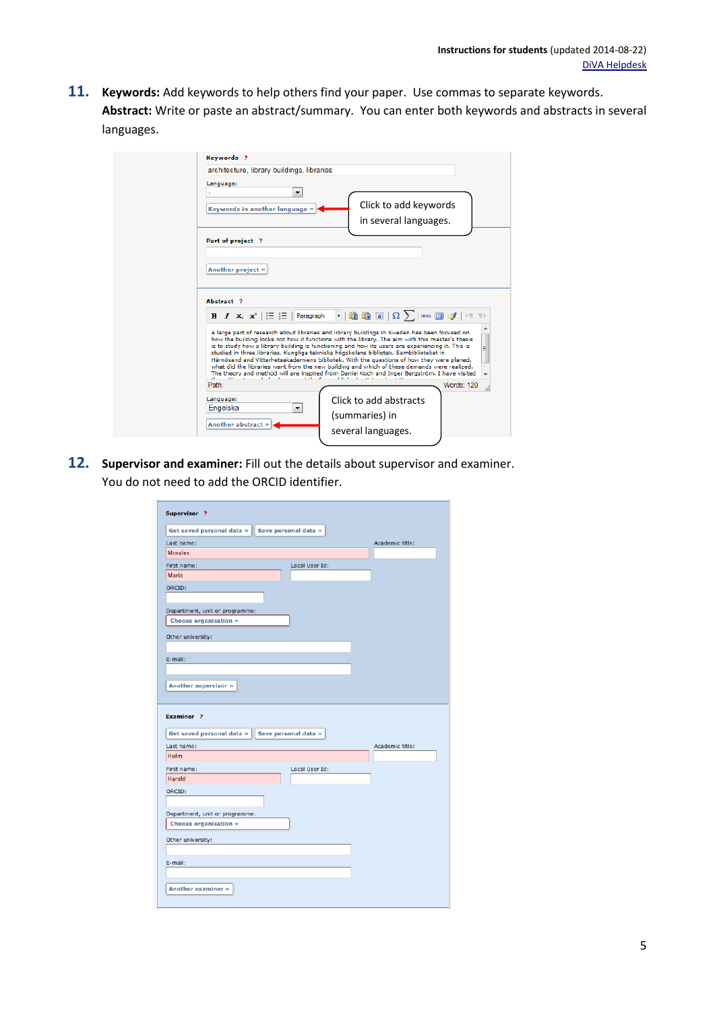**11. Keywords:** Add keywords to help others find your paper. Use commas to separate keywords. **Abstract:** Write or paste an abstract/summary. You can enter both keywords and abstracts in several languages.

| architecture, library buildings, libraries<br>Language:                                                                                       |                                                                                                                                                                                                     |
|-----------------------------------------------------------------------------------------------------------------------------------------------|-----------------------------------------------------------------------------------------------------------------------------------------------------------------------------------------------------|
| ۰                                                                                                                                             |                                                                                                                                                                                                     |
| Keywords in another language »                                                                                                                | Click to add keywords<br>in several languages.                                                                                                                                                      |
| Part of project ?                                                                                                                             |                                                                                                                                                                                                     |
|                                                                                                                                               |                                                                                                                                                                                                     |
| Another project »                                                                                                                             |                                                                                                                                                                                                     |
|                                                                                                                                               |                                                                                                                                                                                                     |
|                                                                                                                                               |                                                                                                                                                                                                     |
|                                                                                                                                               |                                                                                                                                                                                                     |
| Abstract ?                                                                                                                                    |                                                                                                                                                                                                     |
| <b>B</b> $I \times_{\mathbb{R}} \mathbb{1} \times \mathbb{R}^2$ $\vert \cdot \vert \cdot \vert \cdot \vert \cdot \vert \cdot \vert$ Paragraph | $\lvert \cdot \rvert$ (b) (b) (b) $\lvert \Omega \rangle$ ) here. Efter $\lvert \mathcal{J} \rvert$ ) to the                                                                                        |
|                                                                                                                                               | A large part of research about libraries and library buildings in Sweden has been focused on                                                                                                        |
|                                                                                                                                               | how the building looks not how it functions with the library. The aim with this master's thesis<br>is to study how a library building is functioning and how its users are experiencing it. This is |
|                                                                                                                                               | studied in three libraries, Kungliga tekniska högskolans bibliotek, Sambiblioteket in<br>Härnösand and Vitterhetsakademiens bibliotek. With the questions of how they were planed,                  |
|                                                                                                                                               | what did the libraries want from the new building and which of these demands were realized.<br>The theory and method will are inspired from Daniel Koch and Inger Bergström. I have visited         |
| Path:                                                                                                                                         | <b>Words: 120</b>                                                                                                                                                                                   |
| Language:                                                                                                                                     | Click to add abstracts                                                                                                                                                                              |
| Engelska<br>۰                                                                                                                                 |                                                                                                                                                                                                     |
| Another abstract »                                                                                                                            | (summaries) in<br>several languages.                                                                                                                                                                |

**12. Supervisor and examiner:** Fill out the details about supervisor and examiner. You do not need to add the ORCID identifier.

| Supervisor ?                                            |                 |
|---------------------------------------------------------|-----------------|
| Get saved personal data »<br>Save personal data »       |                 |
| Last name:                                              | Academic title: |
| <b>Morales</b>                                          |                 |
| First name:<br>Local User Id:                           |                 |
| <b>Maria</b>                                            |                 |
| ORCID:                                                  |                 |
| Department, unit or programme:<br>Choose organisation » |                 |
| Other university:                                       |                 |
| E-mail:                                                 |                 |
|                                                         |                 |
| Another supervisor »                                    |                 |
| Examiner <sub>2</sub>                                   |                 |
| Get saved personal data »<br>Save personal data »       |                 |
| Last name:                                              | Academic title: |
| Holm                                                    |                 |
|                                                         |                 |
| Local User Id:<br>First name:                           |                 |
| Harald                                                  |                 |
| ORCID:                                                  |                 |
| Department, unit or programme:                          |                 |
| Choose organisation »                                   |                 |
| Other university:                                       |                 |
|                                                         |                 |
| E-mail:                                                 |                 |
|                                                         |                 |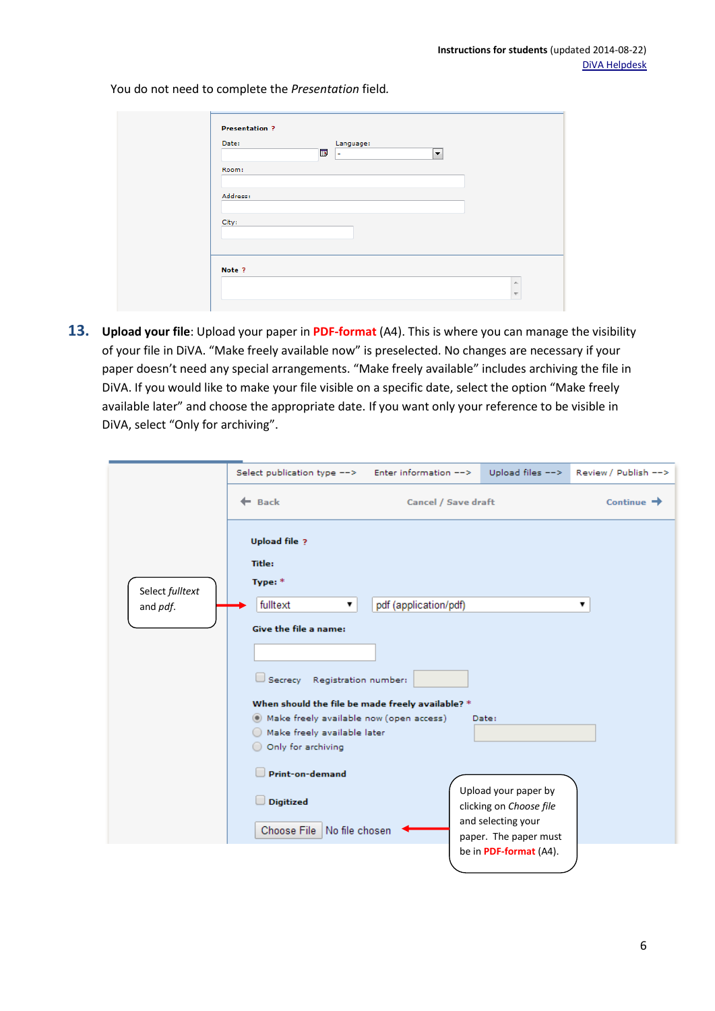You do not need to complete the *Presentation* field*.*

| Date:    | Б | Language:<br>×. | $\blacktriangledown$ |
|----------|---|-----------------|----------------------|
| Room:    |   |                 |                      |
| Address: |   |                 |                      |
| City:    |   |                 |                      |
|          |   |                 |                      |
|          |   |                 |                      |
| Note ?   |   |                 |                      |

**13. Upload your file**: Upload your paper in **PDF-format** (A4). This is where you can manage the visibility of your file in DiVA. "Make freely available now" is preselected. No changes are necessary if your paper doesn't need any special arrangements. "Make freely available" includes archiving the file in DiVA. If you would like to make your file visible on a specific date, select the option "Make freely available later" and choose the appropriate date. If you want only your reference to be visible in DiVA, select "Only for archiving".

|                             | Select publication type --> Enter information -->                                                                                                                                                                                                                                                                                                                   |                       | Upload files $-->$                                                                                                                | Review / Publish -->   |
|-----------------------------|---------------------------------------------------------------------------------------------------------------------------------------------------------------------------------------------------------------------------------------------------------------------------------------------------------------------------------------------------------------------|-----------------------|-----------------------------------------------------------------------------------------------------------------------------------|------------------------|
|                             | $\leftarrow$ Back                                                                                                                                                                                                                                                                                                                                                   | Cancel / Save draft   |                                                                                                                                   | Continue $\rightarrow$ |
| Select fulltext<br>and pdf. | <b>Upload file ?</b><br><b>Title:</b><br>Type: *<br>fulltext<br>▼<br>Give the file a name:<br>Registration number:<br>$\Box$ Secrecy<br>When should the file be made freely available? *<br>(6) Make freely available now (open access)<br>Make freely available later<br>Only for archiving<br>Print-on-demand<br><b>Digitized</b><br>Choose File   No file chosen | pdf (application/pdf) | Date:<br>Upload your paper by<br>clicking on Choose file<br>and selecting your<br>paper. The paper must<br>be in PDF-format (A4). | ▼                      |
|                             |                                                                                                                                                                                                                                                                                                                                                                     |                       |                                                                                                                                   |                        |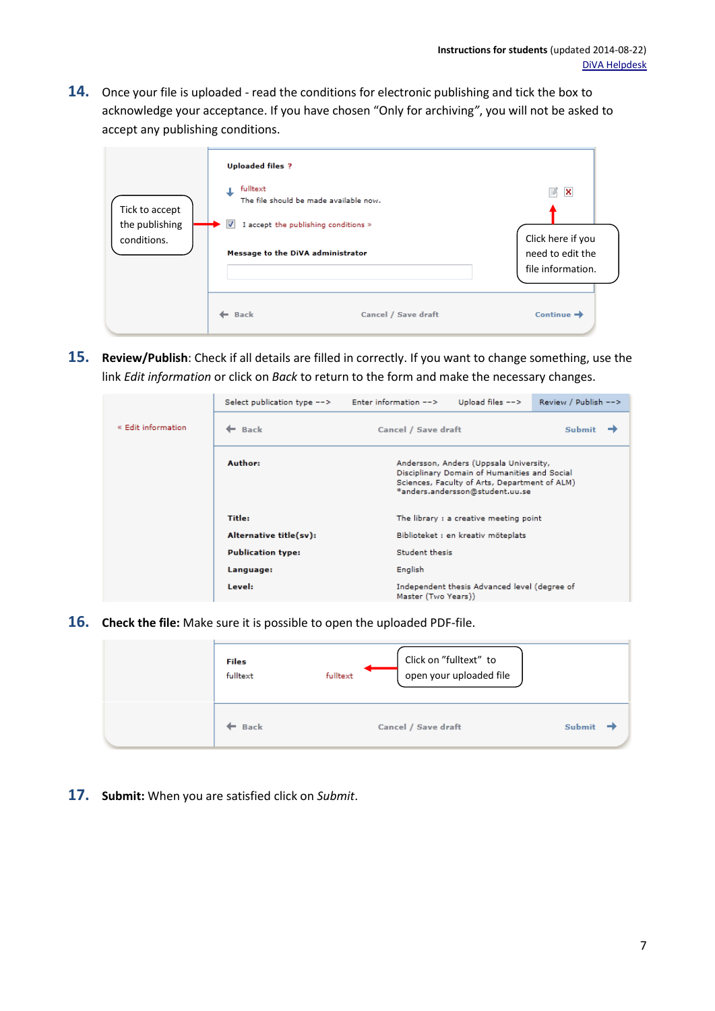**14.** Once your file is uploaded - read the conditions for electronic publishing and tick the box to acknowledge your acceptance. If you have chosen "Only for archiving*"*, you will not be asked to accept any publishing conditions.

| Tick to accept<br>the publishing<br>conditions. | <b>Uploaded files ?</b><br>fulltext<br>$\overline{\mathcal{J}}$<br>I accept the publishing conditions »<br>Message to the DiVA administrator | The file should be made available now. | 序<br>×<br>Click here if you<br>need to edit the<br>file information. |
|-------------------------------------------------|----------------------------------------------------------------------------------------------------------------------------------------------|----------------------------------------|----------------------------------------------------------------------|
|                                                 | ← Back                                                                                                                                       | Cancel / Save draft                    | Continue $\rightarrow$                                               |

**15. Review/Publish**: Check if all details are filled in correctly. If you want to change something, use the link *Edit information* or click on *Back* to return to the form and make the necessary changes.

|                    | Select publication type $-->$ | Enter information $-->$                | Upload files $-->$                                                                                                                                                         | Review / Publish --> |  |
|--------------------|-------------------------------|----------------------------------------|----------------------------------------------------------------------------------------------------------------------------------------------------------------------------|----------------------|--|
| « Edit information | $\leftarrow$ Back             | Cancel / Save draft                    |                                                                                                                                                                            | Submit               |  |
|                    | Author:                       |                                        | Andersson, Anders (Uppsala University,<br>Disciplinary Domain of Humanities and Social<br>Sciences, Faculty of Arts, Department of ALM)<br>*anders.andersson@student.uu.se |                      |  |
|                    | Title:                        | The library : a creative meeting point |                                                                                                                                                                            |                      |  |
|                    | Alternative title(sv):        |                                        | Biblioteket : en kreativ möteplats                                                                                                                                         |                      |  |
|                    | <b>Publication type:</b>      | Student thesis                         |                                                                                                                                                                            |                      |  |
|                    | Language:                     | English                                |                                                                                                                                                                            |                      |  |
|                    | Level:                        | Master (Two Years))                    | Independent thesis Advanced level (degree of                                                                                                                               |                      |  |

**16. Check the file:** Make sure it is possible to open the uploaded PDF-file.

| Files<br>fulltext | Click on "fulltext" to<br>open your uploaded file<br>fulltext |        |
|-------------------|---------------------------------------------------------------|--------|
| Back              | Cancel / Save draft                                           | Submit |

**17. Submit:** When you are satisfied click on *Submit*.